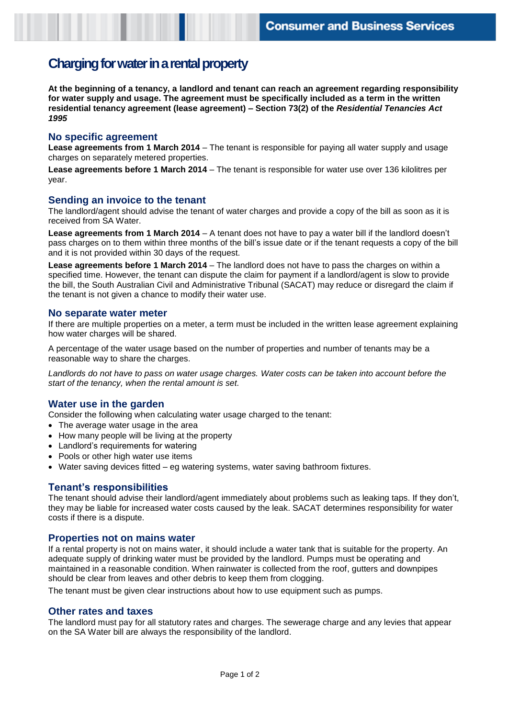# **Charging for water in a rental property**

**At the beginning of a tenancy, a landlord and tenant can reach an agreement regarding responsibility for water supply and usage. The agreement must be specifically included as a term in the written residential tenancy agreement (lease agreement) – Section 73(2) of the** *Residential Tenancies Act 1995*

### **No specific agreement**

**Lease agreements from 1 March 2014** – The tenant is responsible for paying all water supply and usage charges on separately metered properties.

**Lease agreements before 1 March 2014** – The tenant is responsible for water use over 136 kilolitres per year.

### **Sending an invoice to the tenant**

The landlord/agent should advise the tenant of water charges and provide a copy of the bill as soon as it is received from SA Water.

**Lease agreements from 1 March 2014** – A tenant does not have to pay a water bill if the landlord doesn't pass charges on to them within three months of the bill's issue date or if the tenant requests a copy of the bill and it is not provided within 30 days of the request.

**Lease agreements before 1 March 2014** – The landlord does not have to pass the charges on within a specified time. However, the tenant can dispute the claim for payment if a landlord/agent is slow to provide the bill, the South Australian Civil and Administrative Tribunal (SACAT) may reduce or disregard the claim if the tenant is not given a chance to modify their water use.

#### **No separate water meter**

If there are multiple properties on a meter, a term must be included in the written lease agreement explaining how water charges will be shared.

A percentage of the water usage based on the number of properties and number of tenants may be a reasonable way to share the charges.

*Landlords do not have to pass on water usage charges. Water costs can be taken into account before the start of the tenancy, when the rental amount is set.*

## **Water use in the garden**

Consider the following when calculating water usage charged to the tenant:

- The average water usage in the area
- How many people will be living at the property
- Landlord's requirements for watering
- Pools or other high water use items
- Water saving devices fitted eg watering systems, water saving bathroom fixtures.

## **Tenant's responsibilities**

The tenant should advise their landlord/agent immediately about problems such as leaking taps. If they don't, they may be liable for increased water costs caused by the leak. SACAT determines responsibility for water costs if there is a dispute.

#### **Properties not on mains water**

If a rental property is not on mains water, it should include a water tank that is suitable for the property. An adequate supply of drinking water must be provided by the landlord. Pumps must be operating and maintained in a reasonable condition. When rainwater is collected from the roof, gutters and downpipes should be clear from leaves and other debris to keep them from clogging.

The tenant must be given clear instructions about how to use equipment such as pumps.

#### **Other rates and taxes**

The landlord must pay for all statutory rates and charges. The sewerage charge and any levies that appear on the SA Water bill are always the responsibility of the landlord.